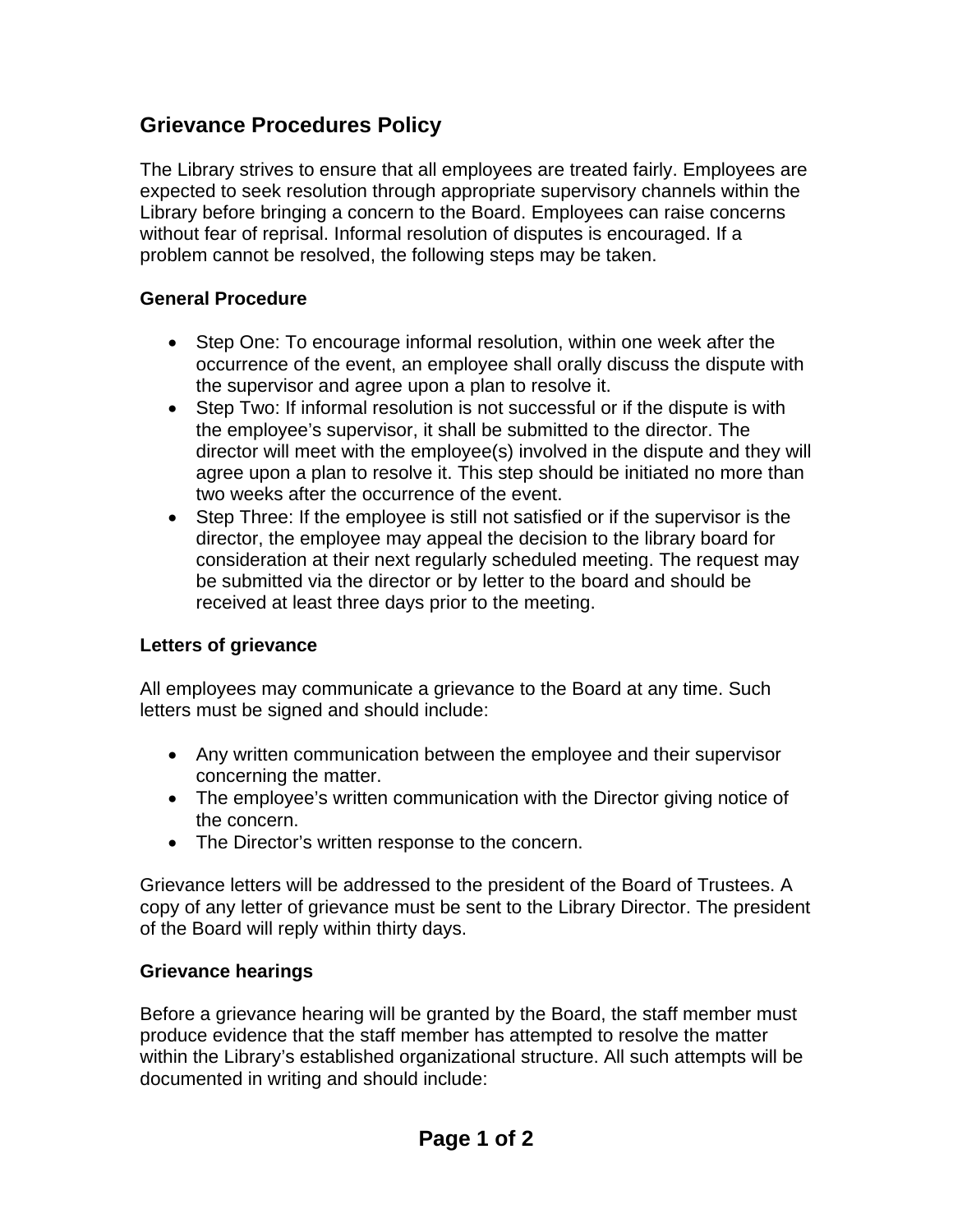## **Grievance Procedures Policy**

The Library strives to ensure that all employees are treated fairly. Employees are expected to seek resolution through appropriate supervisory channels within the Library before bringing a concern to the Board. Employees can raise concerns without fear of reprisal. Informal resolution of disputes is encouraged. If a problem cannot be resolved, the following steps may be taken.

## **General Procedure**

- Step One: To encourage informal resolution, within one week after the occurrence of the event, an employee shall orally discuss the dispute with the supervisor and agree upon a plan to resolve it.
- Step Two: If informal resolution is not successful or if the dispute is with the employee's supervisor, it shall be submitted to the director. The director will meet with the employee(s) involved in the dispute and they will agree upon a plan to resolve it. This step should be initiated no more than two weeks after the occurrence of the event.
- Step Three: If the employee is still not satisfied or if the supervisor is the director, the employee may appeal the decision to the library board for consideration at their next regularly scheduled meeting. The request may be submitted via the director or by letter to the board and should be received at least three days prior to the meeting.

## **Letters of grievance**

All employees may communicate a grievance to the Board at any time. Such letters must be signed and should include:

- Any written communication between the employee and their supervisor concerning the matter.
- The employee's written communication with the Director giving notice of the concern.
- The Director's written response to the concern.

Grievance letters will be addressed to the president of the Board of Trustees. A copy of any letter of grievance must be sent to the Library Director. The president of the Board will reply within thirty days.

## **Grievance hearings**

Before a grievance hearing will be granted by the Board, the staff member must produce evidence that the staff member has attempted to resolve the matter within the Library's established organizational structure. All such attempts will be documented in writing and should include: